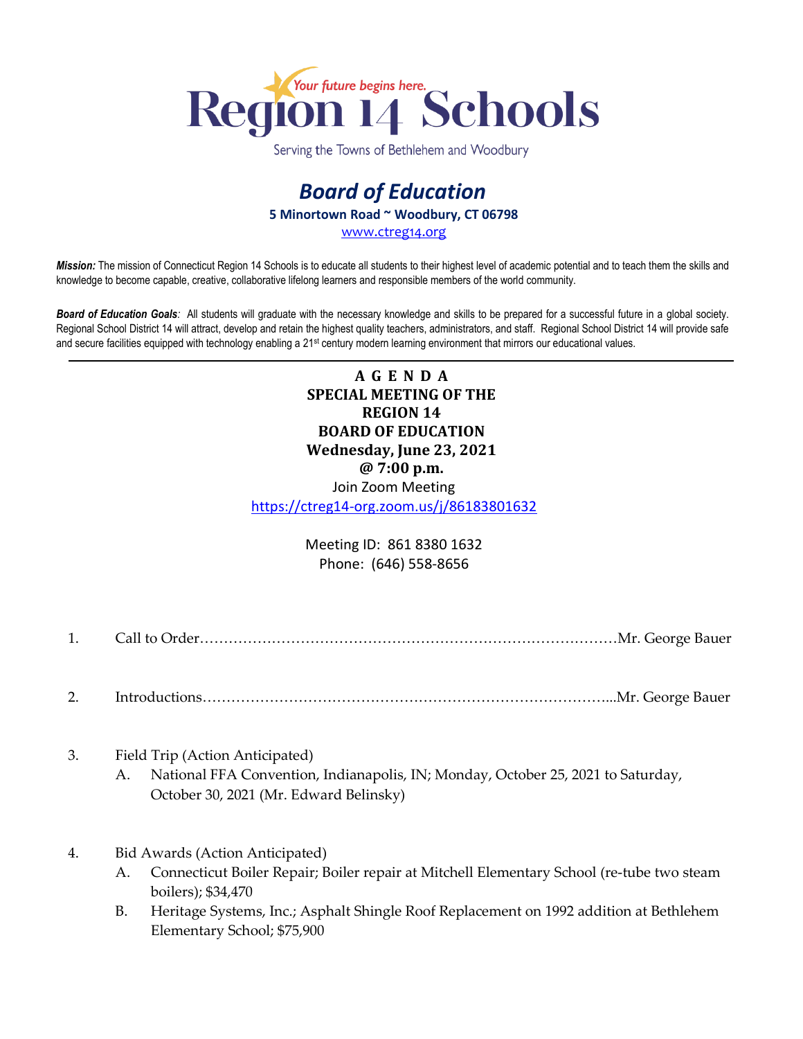

Serving the Towns of Bethlehem and Woodbury

## *Board of Education* **5 Minortown Road ~ Woodbury, CT 06798**

[www.ctreg14.org](http://www.ctreg14.org/)

*Mission:* The mission of Connecticut Region 14 Schools is to educate all students to their highest level of academic potential and to teach them the skills and knowledge to become capable, creative, collaborative lifelong learners and responsible members of the world community.

*Board of Education Goals:* All students will graduate with the necessary knowledge and skills to be prepared for a successful future in a global society. Regional School District 14 will attract, develop and retain the highest quality teachers, administrators, and staff. Regional School District 14 will provide safe and secure facilities equipped with technology enabling a 21<sup>st</sup> century modern learning environment that mirrors our educational values.

> **A G E N D A SPECIAL MEETING OF THE REGION 14 BOARD OF EDUCATION Wednesday, June 23, 2021 @ 7:00 p.m.** Join Zoom Meeting

<https://ctreg14-org.zoom.us/j/86183801632>

Meeting ID: 861 8380 1632 Phone: (646) 558-8656

- 1. Call to Order……………………………………………………………………………Mr. George Bauer
- 2. Introductions…………………………………………………………………………...Mr. George Bauer
- 3. Field Trip (Action Anticipated)
	- A. National FFA Convention, Indianapolis, IN; Monday, October 25, 2021 to Saturday, October 30, 2021 (Mr. Edward Belinsky)
- 4. Bid Awards (Action Anticipated)
	- A. Connecticut Boiler Repair; Boiler repair at Mitchell Elementary School (re-tube two steam boilers); \$34,470
	- B. Heritage Systems, Inc.; Asphalt Shingle Roof Replacement on 1992 addition at Bethlehem Elementary School; \$75,900